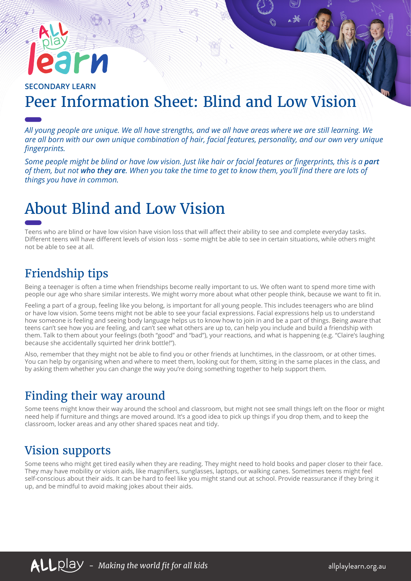# PИ

#### **SECONDARY LEARN** Peer Information Sheet: Blind and Low Vision

*All young people are unique. We all have strengths, and we all have areas where we are still learning. We are all born with our own unique combination of hair, facial features, personality, and our own very unique fingerprints.* 

*Some people might be blind or have low vision. Just like hair or facial features or fingerprints, this is a part of them, but not who they are. When you take the time to get to know them, you'll find there are lots of things you have in common.*

## About Blind and Low Vision

Teens who are blind or have low vision have vision loss that will affect their ability to see and complete everyday tasks. Different teens will have different levels of vision loss - some might be able to see in certain situations, while others might not be able to see at all.

#### Friendship tips

Being a teenager is often a time when friendships become really important to us. We often want to spend more time with people our age who share similar interests. We might worry more about what other people think, because we want to fit in.

Feeling a part of a group, feeling like you belong, is important for all young people. This includes teenagers who are blind or have low vision. Some teens might not be able to see your facial expressions. Facial expressions help us to understand how someone is feeling and seeing body language helps us to know how to join in and be a part of things. Being aware that teens can't see how you are feeling, and can't see what others are up to, can help you include and build a friendship with them. Talk to them about your feelings (both "good" and "bad"), your reactions, and what is happening (e.g. "Claire's laughing because she accidentally squirted her drink bottle!").

Also, remember that they might not be able to find you or other friends at lunchtimes, in the classroom, or at other times. You can help by organising when and where to meet them, looking out for them, sitting in the same places in the class, and by asking them whether you can change the way you're doing something together to help support them.

#### Finding their way around

Some teens might know their way around the school and classroom, but might not see small things left on the floor or might need help if furniture and things are moved around. It's a good idea to pick up things if you drop them, and to keep the classroom, locker areas and any other shared spaces neat and tidy.

#### Vision supports

Some teens who might get tired easily when they are reading. They might need to hold books and paper closer to their face. They may have mobility or vision aids, like magnifiers, sunglasses, laptops, or walking canes. Sometimes teens might feel self-conscious about their aids. It can be hard to feel like you might stand out at school. Provide reassurance if they bring it up, and be mindful to avoid making jokes about their aids.